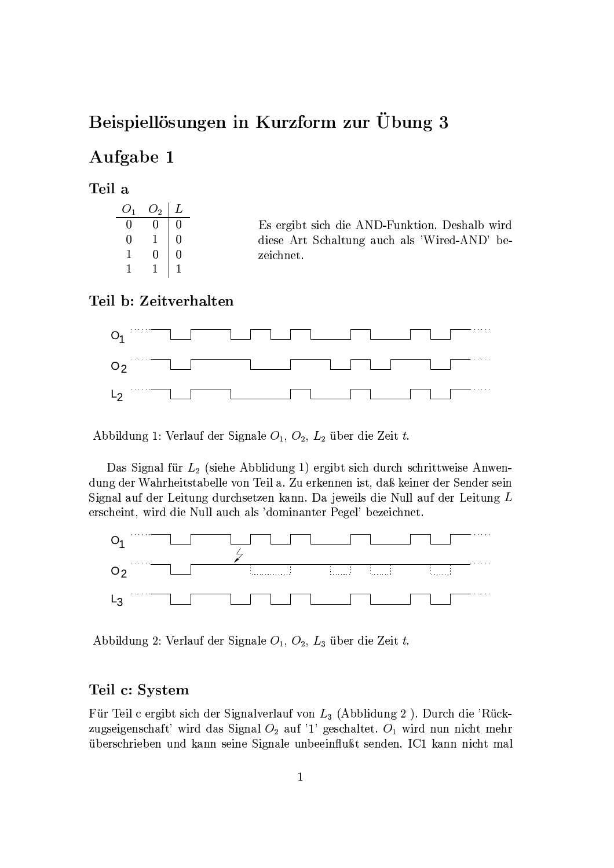# Beispiellösungen in Kurzform zur Übung 3

### Aufgabe 1

#### Teil a

| $O_1$ | $O_2$ | L |
|-------|-------|---|
| 0     | O     | 0 |
| 0     | 1     | 0 |
| 1     | 0     | 0 |
| 1     |       |   |

Es ergibt sich die AND-Funktion. Deshalb wird diese Art Schaltung auch als 'Wired-AND' bezeichnet.

#### Teil b: Zeitverhalten



Abbildung 1: Verlauf der Signale  $O_1$ ,  $O_2$ ,  $L_2$  über die Zeit t.

Das Signal für  $L_2$  (siehe Abblidung 1) ergibt sich durch schrittweise Anwendung der Wahrheitstabelle von Teil a. Zu erkennen ist, daß keiner der Sender sein Signal auf der Leitung durchsetzen kann. Da jeweils die Null auf der Leitung L erscheint, wird die Null auch als 'dominanter Pegel' bezeichnet.



Abbildung 2: Verlauf der Signale  $O_1$ ,  $O_2$ ,  $L_3$  über die Zeit t.

#### Teil c: System

Für Teil c ergibt sich der Signalverlauf von  $L_3$  (Abblidung 2). Durch die 'Rückzugseigenschaft' wird das Signal ${\cal O}_2$ auf '1' geschaltet. ${\cal O}_1$  wird nun nicht mehr überschrieben und kann seine Signale unbeeinflußt senden. IC1 kann nicht mal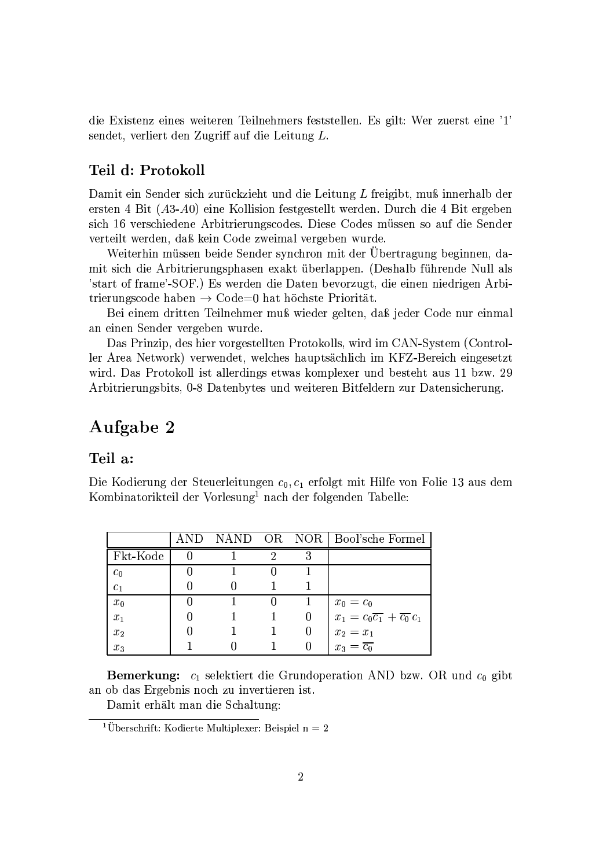die Existenz eines weiteren Teilnehmers feststellen. Es gilt: Wer zuerst eine '1' sendet, verliert den Zugriff auf die Leitung L.

#### Teil d: Protokoll

Damit ein Sender sich zurückzieht und die Leitung L freigibt, muß innerhalb der ersten 4 Bit (A3-A0) eine Kollision festgestellt werden. Durch die 4 Bit ergeben sich 16 verschiedene Arbitrierungscodes. Diese Codes müssen so auf die Sender verteilt werden, daß kein Code zweimal vergeben wurde.

Weiterhin müssen beide Sender synchron mit der Übertragung beginnen, damit sich die Arbitrierungsphasen exakt überlappen. (Deshalb führende Null als 'start of frame'-SOF.) Es werden die Daten bevorzugt, die einen niedrigen Arbitrierungscode haben  $\rightarrow$  Code=0 hat höchste Priorität.

Bei einem dritten Teilnehmer muß wieder gelten, daß jeder Code nur einmal an einen Sender vergeben wurde.

Das Prinzip, des hier vorgestellten Protokolls, wird im CAN-System (Controller Area Network) verwendet, welches hauptsächlich im KFZ-Bereich eingesetzt wird. Das Protokoll ist allerdings etwas komplexer und besteht aus 11 bzw. 29 Arbitrierungsbits, 0-8 Datenbytes und weiteren Bitfeldern zur Datensicherung.

## Aufgabe 2

#### Teil a:

Die Kodierung der Steuerleitungen  $c_0, c_1$  erfolgt mit Hilfe von Folie 13 aus dem Kombinatorikteil der Vorlesung<sup>1</sup> nach der folgenden Tabelle:

|                  |  |        | AND OR NOR Bool'sche Formel                                        |
|------------------|--|--------|--------------------------------------------------------------------|
| Fkt-Kode         |  | 3      |                                                                    |
| $c_{0}$          |  |        |                                                                    |
| $\overline{c}_1$ |  |        |                                                                    |
| $x_0$            |  |        | $x_0 = c_0$                                                        |
| $\overline{x}_1$ |  |        | $x_1 = c_0 \overline{c_1} + \overline{c_0} c_1$                    |
| $x_2$            |  | $\cup$ |                                                                    |
| $x_3$            |  |        | $\begin{array}{l}\nx_2 = x_1 \\ x_3 = \overline{c_0}\n\end{array}$ |

**Bemerkung:**  $c_1$  selektiert die Grundoperation AND bzw. OR und  $c_0$  gibt an ob das Ergebnis noch zu invertieren ist.

Damit erhält man die Schaltung:

<sup>&</sup>lt;sup>1</sup>Überschrift: Kodierte Multiplexer: Beispiel  $n = 2$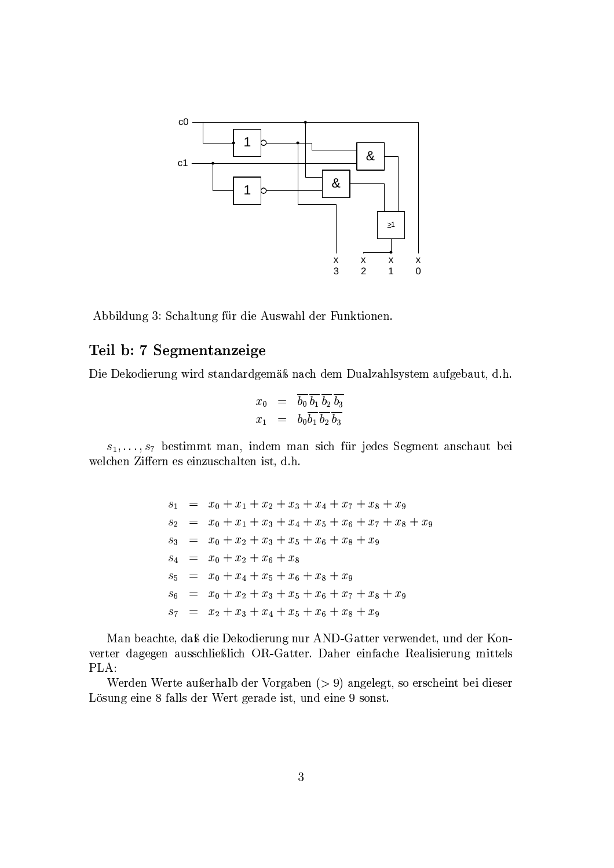

Abbildung 3: Schaltung für die Auswahl der Funktionen.

### Teil b: 7 Segmentanzeige

Die Dekodierung wird standardgemäß nach dem Dualzahlsystem aufgebaut, d.h.

$$
\begin{array}{rcl}\nx_0 & = & \overline{b_0} \, \overline{b_1} \, \overline{b_2} \, \overline{b_3} \\
x_1 & = & b_0 \overline{b_1} \, \overline{b_2} \, \overline{b_3}\n\end{array}
$$

 $s_1, \ldots, s_7$  bestimmt man, indem man sich für jedes Segment anschaut bei welchen Ziffern es einzuschalten ist, d.h.

> $s_1 = x_0 + x_1 + x_2 + x_3 + x_4 + x_7 + x_8 + x_9$  $s_2 = x_0 + x_1 + x_3 + x_4 + x_5 + x_6 + x_7 + x_8 + x_9$  $s_3 = x_0 + x_2 + x_3 + x_5 + x_6 + x_8 + x_9$  $s_4 = x_0 + x_2 + x_6 + x_8$  $s_5 = x_0 + x_4 + x_5 + x_6 + x_8 + x_9$  $s_6 = x_0 + x_2 + x_3 + x_5 + x_6 + x_7 + x_8 + x_9$  $s_7 = x_2 + x_3 + x_4 + x_5 + x_6 + x_8 + x_9$

Man beachte, daß die Dekodierung nur AND-Gatter verwendet, und der Konverter dagegen ausschließlich OR-Gatter. Daher einfache Realisierung mittels PLA:

Werden Werte außerhalb der Vorgaben  $(> 9)$  angelegt, so erscheint bei dieser Lösung eine 8 falls der Wert gerade ist, und eine 9 sonst.